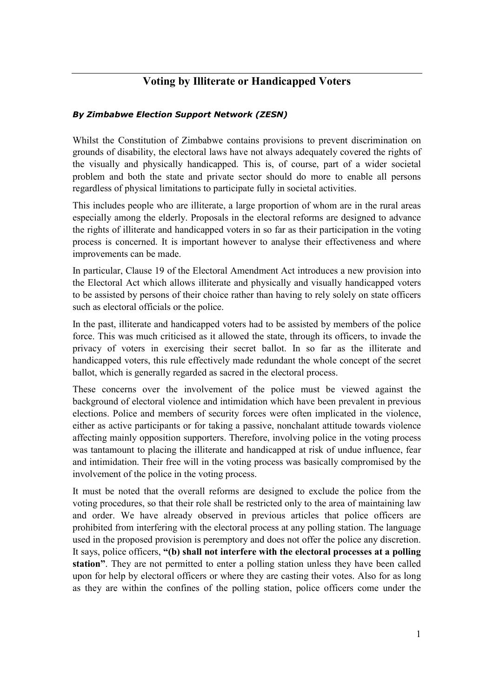## Voting by Illiterate or Handicapped Voters

## By Zimbabwe Election Support Network (ZESN)

Whilst the Constitution of Zimbabwe contains provisions to prevent discrimination on grounds of disability, the electoral laws have not always adequately covered the rights of the visually and physically handicapped. This is, of course, part of a wider societal problem and both the state and private sector should do more to enable all persons regardless of physical limitations to participate fully in societal activities.

This includes people who are illiterate, a large proportion of whom are in the rural areas especially among the elderly. Proposals in the electoral reforms are designed to advance the rights of illiterate and handicapped voters in so far as their participation in the voting process is concerned. It is important however to analyse their effectiveness and where improvements can be made.

In particular, Clause 19 of the Electoral Amendment Act introduces a new provision into the Electoral Act which allows illiterate and physically and visually handicapped voters to be assisted by persons of their choice rather than having to rely solely on state officers such as electoral officials or the police.

In the past, illiterate and handicapped voters had to be assisted by members of the police force. This was much criticised as it allowed the state, through its officers, to invade the privacy of voters in exercising their secret ballot. In so far as the illiterate and handicapped voters, this rule effectively made redundant the whole concept of the secret ballot, which is generally regarded as sacred in the electoral process.

These concerns over the involvement of the police must be viewed against the background of electoral violence and intimidation which have been prevalent in previous elections. Police and members of security forces were often implicated in the violence, either as active participants or for taking a passive, nonchalant attitude towards violence affecting mainly opposition supporters. Therefore, involving police in the voting process was tantamount to placing the illiterate and handicapped at risk of undue influence, fear and intimidation. Their free will in the voting process was basically compromised by the involvement of the police in the voting process.

It must be noted that the overall reforms are designed to exclude the police from the voting procedures, so that their role shall be restricted only to the area of maintaining law and order. We have already observed in previous articles that police officers are prohibited from interfering with the electoral process at any polling station. The language used in the proposed provision is peremptory and does not offer the police any discretion. It says, police officers, "(b) shall not interfere with the electoral processes at a polling station". They are not permitted to enter a polling station unless they have been called upon for help by electoral officers or where they are casting their votes. Also for as long as they are within the confines of the polling station, police officers come under the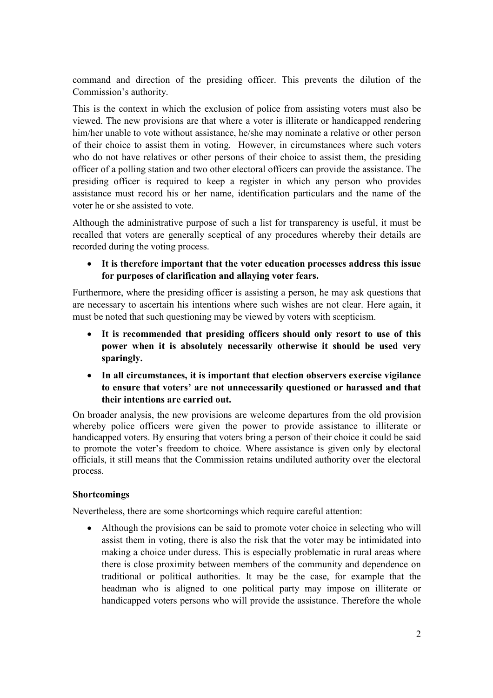command and direction of the presiding officer. This prevents the dilution of the Commission's authority.

This is the context in which the exclusion of police from assisting voters must also be viewed. The new provisions are that where a voter is illiterate or handicapped rendering him/her unable to vote without assistance, he/she may nominate a relative or other person of their choice to assist them in voting. However, in circumstances where such voters who do not have relatives or other persons of their choice to assist them, the presiding officer of a polling station and two other electoral officers can provide the assistance. The presiding officer is required to keep a register in which any person who provides assistance must record his or her name, identification particulars and the name of the voter he or she assisted to vote.

Although the administrative purpose of such a list for transparency is useful, it must be recalled that voters are generally sceptical of any procedures whereby their details are recorded during the voting process.

• It is therefore important that the voter education processes address this issue for purposes of clarification and allaying voter fears.

Furthermore, where the presiding officer is assisting a person, he may ask questions that are necessary to ascertain his intentions where such wishes are not clear. Here again, it must be noted that such questioning may be viewed by voters with scepticism.

- It is recommended that presiding officers should only resort to use of this power when it is absolutely necessarily otherwise it should be used very sparingly.
- In all circumstances, it is important that election observers exercise vigilance to ensure that voters' are not unnecessarily questioned or harassed and that their intentions are carried out.

On broader analysis, the new provisions are welcome departures from the old provision whereby police officers were given the power to provide assistance to illiterate or handicapped voters. By ensuring that voters bring a person of their choice it could be said to promote the voter's freedom to choice. Where assistance is given only by electoral officials, it still means that the Commission retains undiluted authority over the electoral process.

## Shortcomings

Nevertheless, there are some shortcomings which require careful attention:

• Although the provisions can be said to promote voter choice in selecting who will assist them in voting, there is also the risk that the voter may be intimidated into making a choice under duress. This is especially problematic in rural areas where there is close proximity between members of the community and dependence on traditional or political authorities. It may be the case, for example that the headman who is aligned to one political party may impose on illiterate or handicapped voters persons who will provide the assistance. Therefore the whole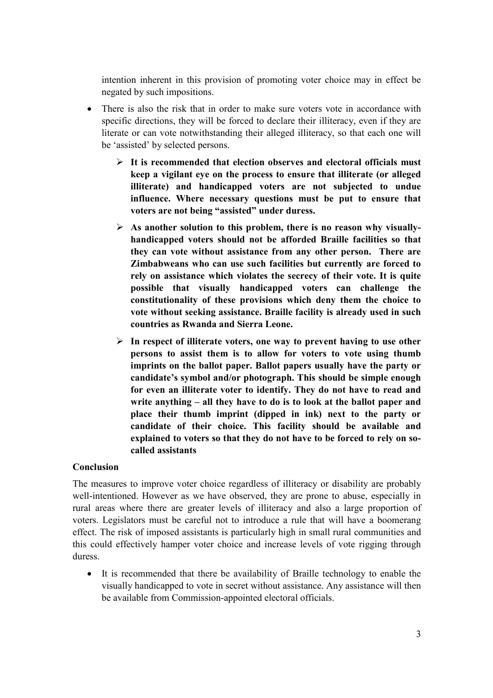intention inherent in this provision of promoting voter choice may in effect be negated by such impositions.

- There is also the risk that in order to make sure voters vote in accordance with specific directions, they will be forced to declare their illiteracy, even if they are literate or can vote notwithstanding their alleged illiteracy, so that each one will be 'assisted' by selected persons.
	- $\triangleright$  It is recommended that election observes and electoral officials must keep a vigilant eye on the process to ensure that illiterate (or alleged illiterate) and handicapped voters are not subjected to undue influence. Where necessary questions must be put to ensure that voters are not being "assisted" under duress.
	- $\triangleright$  As another solution to this problem, there is no reason why visuallyhandicapped voters should not be afforded Braille facilities so that they can vote without assistance from any other person. There are Zimbabweans who can use such facilities but currently are forced to rely on assistance which violates the secrecy of their vote. It is quite possible that visually handicapped voters can challenge the constitutionality of these provisions which deny them the choice to vote without seeking assistance. Braille facility is already used in such countries as Rwanda and Sierra Leone.
	- $\triangleright$  In respect of illiterate voters, one way to prevent having to use other persons to assist them is to allow for voters to vote using thumb imprints on the ballot paper. Ballot papers usually have the party or candidate's symbol and/or photograph. This should be simple enough for even an illiterate voter to identify. They do not have to read and write anything – all they have to do is to look at the ballot paper and place their thumb imprint (dipped in ink) next to the party or candidate of their choice. This facility should be available and explained to voters so that they do not have to be forced to rely on socalled assistants

## Conclusion

The measures to improve voter choice regardless of illiteracy or disability are probably well-intentioned. However as we have observed, they are prone to abuse, especially in rural areas where there are greater levels of illiteracy and also a large proportion of voters. Legislators must be careful not to introduce a rule that will have a boomerang effect. The risk of imposed assistants is particularly high in small rural communities and this could effectively hamper voter choice and increase levels of vote rigging through duress.

• It is recommended that there be availability of Braille technology to enable the visually handicapped to vote in secret without assistance. Any assistance will then be available from Commission-appointed electoral officials.